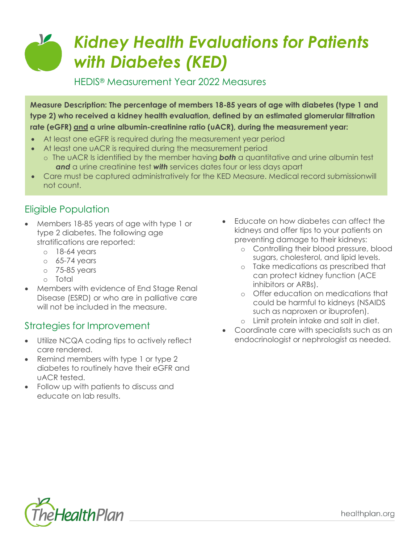# $\mathcal{L}$ *Kidney Health Evaluations for Patients with Diabetes (KED)*

HEDIS® Measurement Year 2022 Measures

**Measure Description: The percentage of members 18-85 years of age with diabetes (type 1 and type 2) who received a kidney health evaluation, defined by an estimated glomerular filtration rate (eGFR) and a urine albumin-creatinine ratio (uACR), during the measurement year:**

- At least one eGFR is required during the measurement year period
- At least one uACR is required during the measurement period
- o The uACR Is identified by the member having *both* a quantitative and urine albumin test *and* a urine creatinine test *with* services dates four or less days apart
- Care must be captured administratively for the KED Measure. Medical record submissionwill not count.

## Eligible Population

- Members 18-85 years of age with type 1 or type 2 diabetes. The following age stratifications are reported:
	- o 18-64 years
	- $\circ$  65-74 years
	- o 75-85 years
	- o Total
- Members with evidence of End Stage Renal Disease (ESRD) or who are in palliative care will not be included in the measure.

#### Strategies for Improvement

- Utilize NCQA coding tips to actively reflect care rendered.
- Remind members with type 1 or type 2 diabetes to routinely have their eGFR and uACR tested.
- Follow up with patients to discuss and educate on lab results.
- Educate on how diabetes can affect the kidneys and offer tips to your patients on preventing damage to their kidneys:
	- o Controlling their blood pressure, blood sugars, cholesterol, and lipid levels.
	- o Take medications as prescribed that can protect kidney function (ACE inhibitors or ARBs).
	- o Offer education on medications that could be harmful to kidneys (NSAIDS such as naproxen or ibuprofen).
	- o Limit protein intake and salt in diet.
- Coordinate care with specialists such as an endocrinologist or nephrologist as needed.